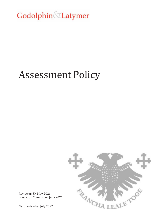Godolphin Latymer

## Assessment Policy



Reviewer: SH May 2021 Education Committee: June 2021

Next review by: July 2022